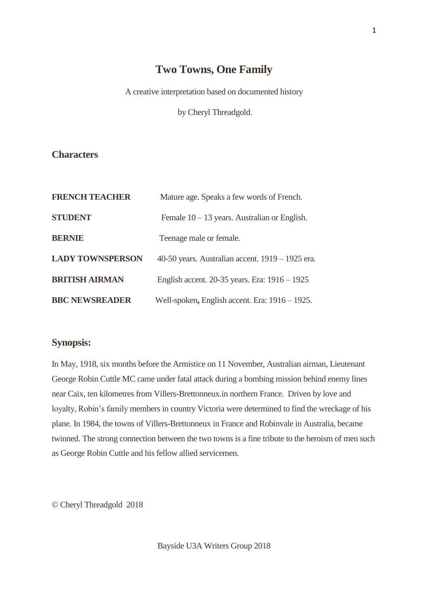## **Two Towns, One Family**

A creative interpretation based on documented history

by Cheryl Threadgold.

## **Characters**

| <b>FRENCH TEACHER</b>   | Mature age. Speaks a few words of French.         |
|-------------------------|---------------------------------------------------|
| <b>STUDENT</b>          | Female $10 - 13$ years. Australian or English.    |
| <b>BERNIE</b>           | Teenage male or female.                           |
| <b>LADY TOWNSPERSON</b> | 40-50 years. Australian accent. 1919 – 1925 era.  |
| <b>BRITISH AIRMAN</b>   | English accent. 20-35 years. Era: 1916 – 1925     |
| <b>BBC NEWSREADER</b>   | Well-spoken, English accent. Era: $1916 - 1925$ . |

## **Synopsis:**

In May, 1918, six months before the Armistice on 11 November, Australian airman, Lieutenant George Robin Cuttle MC came under fatal attack during a bombing mission behind enemy lines near Caix, ten kilometres from Villers-Brettonneux.in northern France. Driven by love and loyalty, Robin's family members in country Victoria were determined to find the wreckage of his plane. In 1984, the towns of Villers-Brettonneux in France and Robinvale in Australia, became twinned. The strong connection between the two towns is a fine tribute to the heroism of men such as George Robin Cuttle and his fellow allied servicemen.

© Cheryl Threadgold 2018

Bayside U3A Writers Group 2018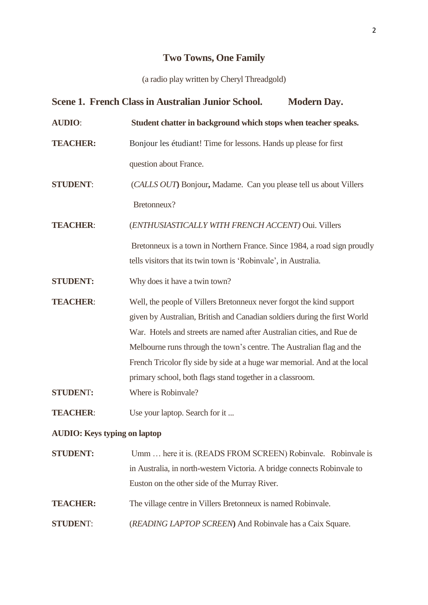# **Two Towns, One Family**

(a radio play written by Cheryl Threadgold)

|                                     | Scene 1. French Class in Australian Junior School.<br><b>Modern Day.</b>  |
|-------------------------------------|---------------------------------------------------------------------------|
| <b>AUDIO:</b>                       | Student chatter in background which stops when teacher speaks.            |
| <b>TEACHER:</b>                     | Bonjour les étudiant! Time for lessons. Hands up please for first         |
|                                     | question about France.                                                    |
| <b>STUDENT:</b>                     | (CALLS OUT) Bonjour, Madame. Can you please tell us about Villers         |
|                                     | Bretonneux?                                                               |
| <b>TEACHER:</b>                     | (ENTHUSIASTICALLY WITH FRENCH ACCENT) Oui. Villers                        |
|                                     | Bretonneux is a town in Northern France. Since 1984, a road sign proudly  |
|                                     | tells visitors that its twin town is 'Robinvale', in Australia.           |
| <b>STUDENT:</b>                     | Why does it have a twin town?                                             |
| <b>TEACHER:</b>                     | Well, the people of Villers Bretonneux never forgot the kind support      |
|                                     | given by Australian, British and Canadian soldiers during the first World |
|                                     | War. Hotels and streets are named after Australian cities, and Rue de     |
|                                     | Melbourne runs through the town's centre. The Australian flag and the     |
|                                     | French Tricolor fly side by side at a huge war memorial. And at the local |
|                                     | primary school, both flags stand together in a classroom.                 |
| <b>STUDENT:</b>                     | Where is Robinvale?                                                       |
| <b>TEACHER:</b>                     | Use your laptop. Search for it                                            |
| <b>AUDIO:</b> Keys typing on laptop |                                                                           |
| <b>STUDENT:</b>                     | Umm  here it is. (READS FROM SCREEN) Robinvale. Robinvale is              |
|                                     | in Australia, in north-western Victoria. A bridge connects Robinvale to   |
|                                     | Euston on the other side of the Murray River.                             |
| <b>TEACHER:</b>                     | The village centre in Villers Bretonneux is named Robinvale.              |
| <b>STUDENT:</b>                     | (READING LAPTOP SCREEN) And Robinvale has a Caix Square.                  |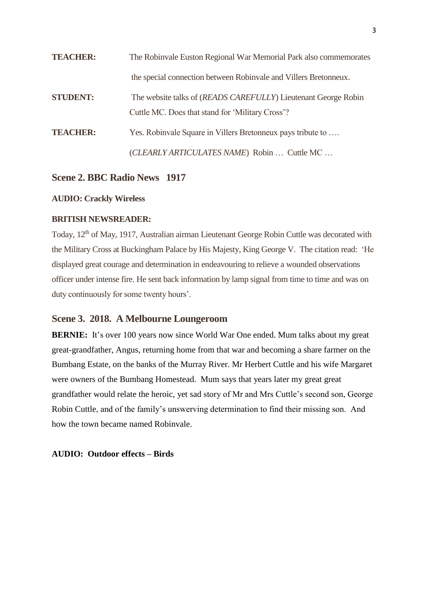| <b>TEACHER:</b> | The Robinvale Euston Regional War Memorial Park also commemorates                                                  |
|-----------------|--------------------------------------------------------------------------------------------------------------------|
|                 | the special connection between Robinvale and Villers Bretonneux.                                                   |
| <b>STUDENT:</b> | The website talks of (READS CAREFULLY) Lieutenant George Robin<br>Cuttle MC. Does that stand for 'Military Cross'? |
| <b>TEACHER:</b> | Yes. Robinvale Square in Villers Bretonneux pays tribute to                                                        |
|                 | (CLEARLY ARTICULATES NAME) Robin  Cuttle MC                                                                        |

## **Scene 2. BBC Radio News 1917**

#### **AUDIO: Crackly Wireless**

## **BRITISH NEWSREADER:**

Today, 12<sup>th</sup> of May, 1917, Australian airman Lieutenant George Robin Cuttle was decorated with the Military Cross at Buckingham Palace by His Majesty, King George V. The citation read: 'He displayed great courage and determination in endeavouring to relieve a wounded observations officer under intense fire. He sent back information by lamp signal from time to time and was on duty continuously for some twenty hours'.

#### **Scene 3. 2018. A Melbourne Loungeroom**

**BERNIE:** It's over 100 years now since World War One ended. Mum talks about my great great-grandfather, Angus, returning home from that war and becoming a share farmer on the Bumbang Estate, on the banks of the Murray River. Mr Herbert Cuttle and his wife Margaret were owners of the Bumbang Homestead. Mum says that years later my great great grandfather would relate the heroic, yet sad story of Mr and Mrs Cuttle's second son, George Robin Cuttle, and of the family's unswerving determination to find their missing son. And how the town became named Robinvale.

#### **AUDIO: Outdoor effects – Birds**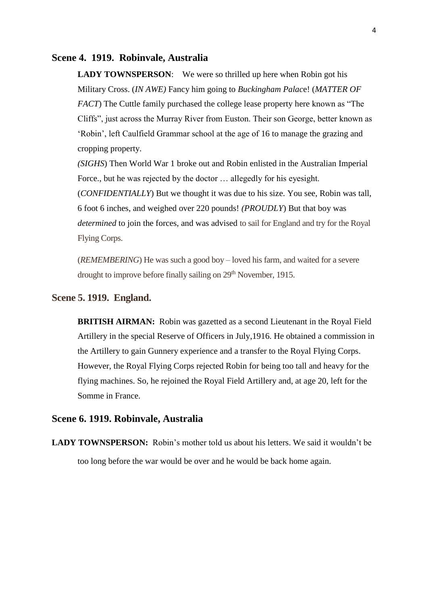#### **Scene 4. 1919. Robinvale, Australia**

**LADY TOWNSPERSON:** We were so thrilled up here when Robin got his Military Cross. (*IN AWE)* Fancy him going to *Buckingham Palac*e! (*MATTER OF FACT*) The Cuttle family purchased the college lease property here known as "The Cliffs", just across the Murray River from Euston. Their son George, better known as 'Robin', left Caulfield Grammar school at the age of 16 to manage the grazing and cropping property.

*(SIGHS*) Then World War 1 broke out and Robin enlisted in the Australian Imperial Force., but he was rejected by the doctor … allegedly for his eyesight. (*CONFIDENTIALLY*) But we thought it was due to his size. You see, Robin was tall, 6 foot 6 inches, and weighed over 220 pounds! *(PROUDLY*) But that boy was *determined* to join the forces, and was advised to sail for England and try for the Royal

Flying Corps.

(*REMEMBERING*) He was such a good boy – loved his farm, and waited for a severe drought to improve before finally sailing on 29<sup>th</sup> November, 1915.

## **Scene 5. 1919. England.**

**BRITISH AIRMAN:** Robin was gazetted as a second Lieutenant in the Royal Field Artillery in the special Reserve of Officers in July,1916. He obtained a commission in the Artillery to gain Gunnery experience and a transfer to the Royal Flying Corps. However, the Royal Flying Corps rejected Robin for being too tall and heavy for the flying machines. So, he rejoined the Royal Field Artillery and, at age 20, left for the Somme in France.

#### **Scene 6. 1919. Robinvale, Australia**

LADY TOWNSPERSON: Robin's mother told us about his letters. We said it wouldn't be too long before the war would be over and he would be back home again.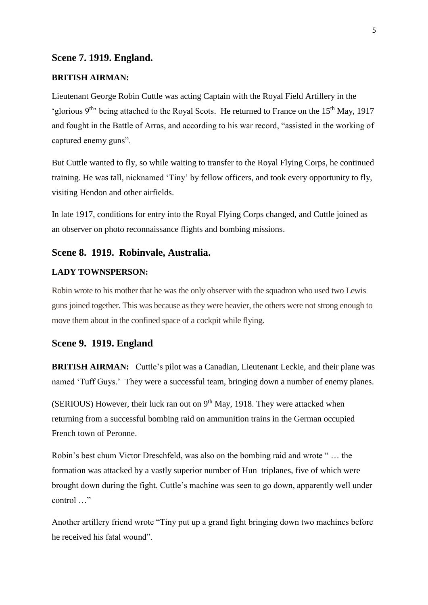#### **Scene 7. 1919. England.**

#### **BRITISH AIRMAN:**

Lieutenant George Robin Cuttle was acting Captain with the Royal Field Artillery in the 'glorious 9<sup>th</sup>' being attached to the Royal Scots. He returned to France on the 15<sup>th</sup> May, 1917 and fought in the Battle of Arras, and according to his war record, "assisted in the working of captured enemy guns".

But Cuttle wanted to fly, so while waiting to transfer to the Royal Flying Corps, he continued training. He was tall, nicknamed 'Tiny' by fellow officers, and took every opportunity to fly, visiting Hendon and other airfields.

In late 1917, conditions for entry into the Royal Flying Corps changed, and Cuttle joined as an observer on photo reconnaissance flights and bombing missions.

#### **Scene 8. 1919. Robinvale, Australia.**

#### **LADY TOWNSPERSON:**

Robin wrote to his mother that he was the only observer with the squadron who used two Lewis guns joined together. This was because as they were heavier, the others were not strong enough to move them about in the confined space of a cockpit while flying.

## **Scene 9. 1919. England**

**BRITISH AIRMAN:** Cuttle's pilot was a Canadian, Lieutenant Leckie, and their plane was named 'Tuff Guys.' They were a successful team, bringing down a number of enemy planes.

(SERIOUS) However, their luck ran out on  $9<sup>th</sup>$  May, 1918. They were attacked when returning from a successful bombing raid on ammunition trains in the German occupied French town of Peronne.

Robin's best chum Victor Dreschfeld, was also on the bombing raid and wrote " … the formation was attacked by a vastly superior number of Hun triplanes, five of which were brought down during the fight. Cuttle's machine was seen to go down, apparently well under control …"

Another artillery friend wrote "Tiny put up a grand fight bringing down two machines before he received his fatal wound".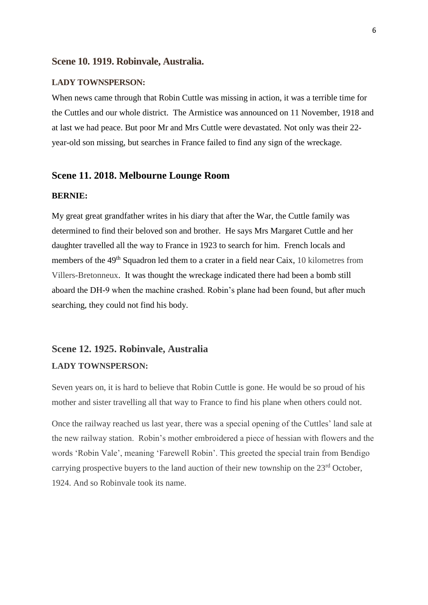#### **Scene 10. 1919. Robinvale, Australia.**

#### **LADY TOWNSPERSON:**

When news came through that Robin Cuttle was missing in action, it was a terrible time for the Cuttles and our whole district. The Armistice was announced on 11 November, 1918 and at last we had peace. But poor Mr and Mrs Cuttle were devastated. Not only was their 22 year-old son missing, but searches in France failed to find any sign of the wreckage.

## **Scene 11. 2018. Melbourne Lounge Room**

#### **BERNIE:**

My great great grandfather writes in his diary that after the War, the Cuttle family was determined to find their beloved son and brother. He says Mrs Margaret Cuttle and her daughter travelled all the way to France in 1923 to search for him. French locals and members of the 49<sup>th</sup> Squadron led them to a crater in a field near Caix, 10 kilometres from Villers-Bretonneux. It was thought the wreckage indicated there had been a bomb still aboard the DH-9 when the machine crashed. Robin's plane had been found, but after much searching, they could not find his body.

## **Scene 12. 1925. Robinvale, Australia LADY TOWNSPERSON:**

Seven years on, it is hard to believe that Robin Cuttle is gone. He would be so proud of his mother and sister travelling all that way to France to find his plane when others could not.

Once the railway reached us last year, there was a special opening of the Cuttles' land sale at the new railway station. Robin's mother embroidered a piece of hessian with flowers and the words 'Robin Vale', meaning 'Farewell Robin'. This greeted the special train from Bendigo carrying prospective buyers to the land auction of their new township on the 23<sup>rd</sup> October, 1924. And so Robinvale took its name.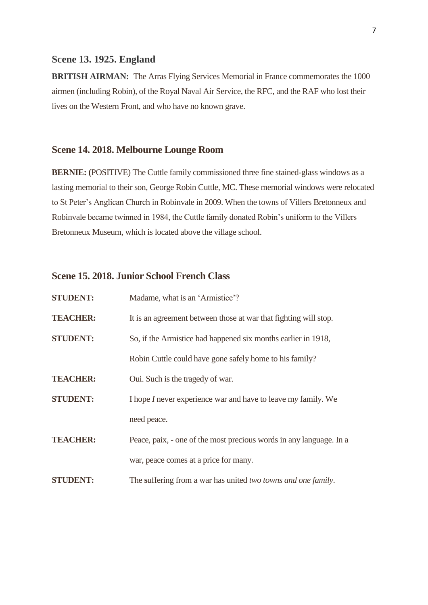### **Scene 13. 1925. England**

**BRITISH AIRMAN:** The Arras Flying Services Memorial in France commemorates the 1000 airmen (including Robin), of the Royal Naval Air Service, the RFC, and the RAF who lost their lives on the Western Front, and who have no known grave.

## **Scene 14. 2018. Melbourne Lounge Room**

**BERNIE: (**POSITIVE) The Cuttle family commissioned three fine stained-glass windows as a lasting memorial to their son, George Robin Cuttle, MC. These memorial windows were relocated to St Peter's Anglican Church in Robinvale in 2009. When the towns of Villers Bretonneux and Robinvale became twinned in 1984, the Cuttle family donated Robin's uniform to the Villers Bretonneux Museum, which is located above the village school.

## **Scene 15. 2018. Junior School French Class**

| <b>STUDENT:</b> | Madame, what is an 'Armistice'?                                      |
|-----------------|----------------------------------------------------------------------|
| <b>TEACHER:</b> | It is an agreement between those at war that fighting will stop.     |
| <b>STUDENT:</b> | So, if the Armistice had happened six months earlier in 1918,        |
|                 | Robin Cuttle could have gone safely home to his family?              |
| <b>TEACHER:</b> | Oui. Such is the tragedy of war.                                     |
| <b>STUDENT:</b> | I hope <i>I</i> never experience war and have to leave my family. We |
|                 | need peace.                                                          |
| <b>TEACHER:</b> | Peace, paix, - one of the most precious words in any language. In a  |
|                 | war, peace comes at a price for many.                                |
| <b>STUDENT:</b> | The suffering from a war has united two towns and one family.        |